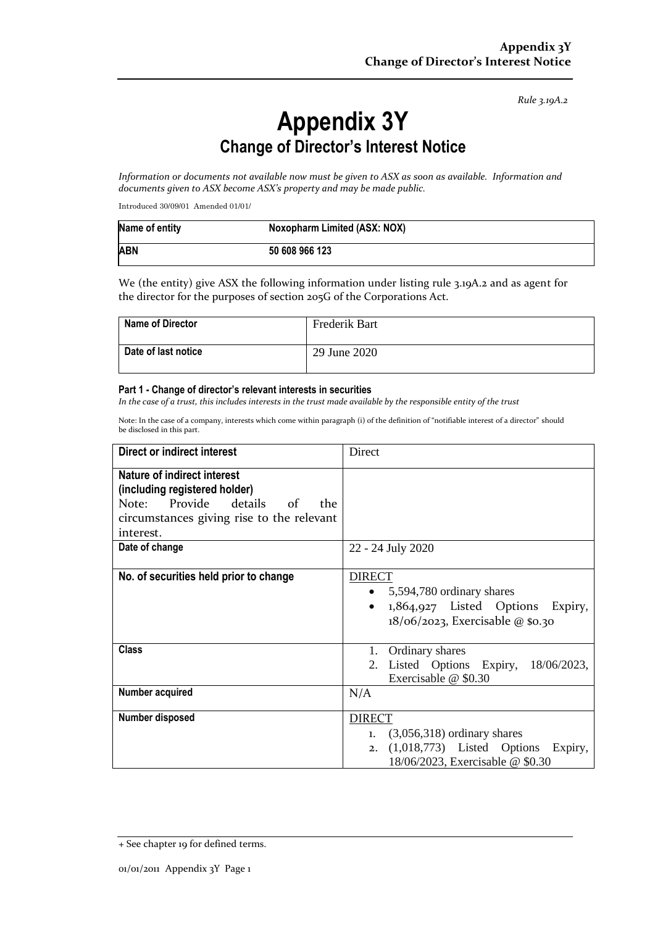*Rule 3.19A.2*

## **Appendix 3Y Change of Director's Interest Notice**

*Information or documents not available now must be given to ASX as soon as available. Information and documents given to ASX become ASX's property and may be made public.*

Introduced 30/09/01 Amended 01/01/

| Name of entity | Noxopharm Limited (ASX: NOX) |
|----------------|------------------------------|
| <b>ABN</b>     | 50 608 966 123               |

We (the entity) give ASX the following information under listing rule 3.19A.2 and as agent for the director for the purposes of section 205G of the Corporations Act.

| <b>Name of Director</b> | Frederik Bart |
|-------------------------|---------------|
| Date of last notice     | 29 June 2020  |

## **Part 1 - Change of director's relevant interests in securities**

*In the case of a trust, this includes interests in the trust made available by the responsible entity of the trust*

Note: In the case of a company, interests which come within paragraph (i) of the definition of "notifiable interest of a director" should be disclosed in this part.

| Direct or indirect interest                                                                                                                               | Direct                                                                                                                                 |  |
|-----------------------------------------------------------------------------------------------------------------------------------------------------------|----------------------------------------------------------------------------------------------------------------------------------------|--|
| Nature of indirect interest<br>(including registered holder)<br>Note: Provide details of<br>the<br>circumstances giving rise to the relevant<br>interest. |                                                                                                                                        |  |
| Date of change                                                                                                                                            | 22 - 24 July 2020                                                                                                                      |  |
| No. of securities held prior to change                                                                                                                    | <b>DIRECT</b><br>5,594,780 ordinary shares<br>$\bullet$<br>1,864,927 Listed Options Expiry,<br>$18/06/2023$ , Exercisable @ \$0.30     |  |
| <b>Class</b>                                                                                                                                              | Ordinary shares<br>1.<br>2. Listed Options Expiry, 18/06/2023,<br>Exercisable @ \$0.30                                                 |  |
| Number acquired                                                                                                                                           | N/A                                                                                                                                    |  |
| Number disposed                                                                                                                                           | <b>DIRECT</b><br>$(3,056,318)$ ordinary shares<br>1.<br>$(1,018,773)$ Listed Options Expiry,<br>2.<br>18/06/2023, Exercisable @ \$0.30 |  |

<sup>+</sup> See chapter 19 for defined terms.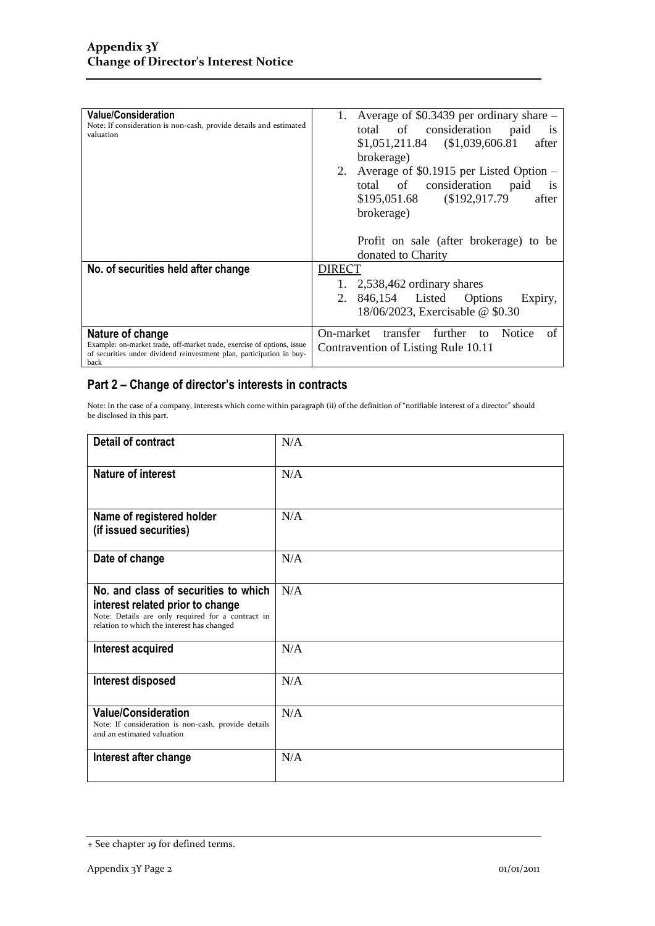| <b>Value/Consideration</b><br>Note: If consideration is non-cash, provide details and estimated<br>valuation                                                                | Average of \$0.3439 per ordinary share –<br>1.<br>total of consideration<br>paid<br><b>1S</b><br>$$1,051,211.84$ $$1,039,606.81$<br>after<br>brokerage)<br>Average of $$0.1915$ per Listed Option –<br>2.<br>total of consideration<br>paid<br><b>1S</b><br>\$192,917.79<br>\$195,051.68<br>after<br>brokerage)<br>Profit on sale (after brokerage) to be |
|-----------------------------------------------------------------------------------------------------------------------------------------------------------------------------|-----------------------------------------------------------------------------------------------------------------------------------------------------------------------------------------------------------------------------------------------------------------------------------------------------------------------------------------------------------|
| No. of securities held after change                                                                                                                                         | donated to Charity<br><b>DIRECT</b><br>1. $2,538,462$ ordinary shares<br>846,154 Listed<br>2.<br>Options<br>Expiry,<br>18/06/2023, Exercisable @ \$0.30                                                                                                                                                                                                   |
| Nature of change<br>Example: on-market trade, off-market trade, exercise of options, issue<br>of securities under dividend reinvestment plan, participation in buy-<br>hack | On-market<br>transfer<br><b>Notice</b><br>further<br>of<br>to<br>Contravention of Listing Rule 10.11                                                                                                                                                                                                                                                      |

## **Part 2 – Change of director's interests in contracts**

Note: In the case of a company, interests which come within paragraph (ii) of the definition of "notifiable interest of a director" should be disclosed in this part.

| <b>Detail of contract</b>                                                                                                                                                   | N/A |
|-----------------------------------------------------------------------------------------------------------------------------------------------------------------------------|-----|
| <b>Nature of interest</b>                                                                                                                                                   | N/A |
| Name of registered holder<br>(if issued securities)                                                                                                                         | N/A |
| Date of change                                                                                                                                                              | N/A |
| No. and class of securities to which<br>interest related prior to change<br>Note: Details are only required for a contract in<br>relation to which the interest has changed | N/A |
| Interest acquired                                                                                                                                                           | N/A |
| Interest disposed                                                                                                                                                           | N/A |
| <b>Value/Consideration</b><br>Note: If consideration is non-cash, provide details<br>and an estimated valuation                                                             | N/A |
| Interest after change                                                                                                                                                       | N/A |

<sup>+</sup> See chapter 19 for defined terms.